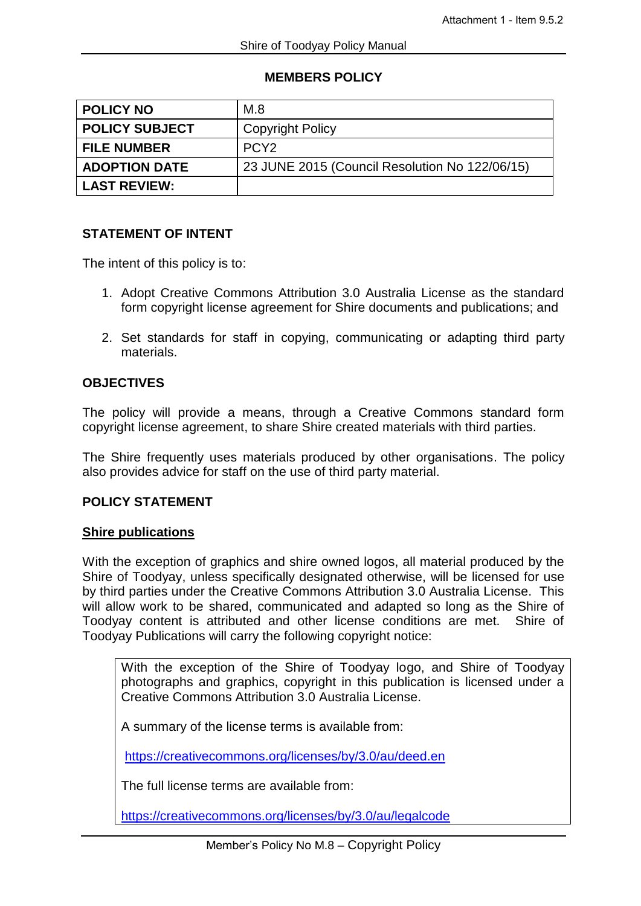#### **MEMBERS POLICY**

| <b>POLICY NO</b>      | M.8                                            |
|-----------------------|------------------------------------------------|
| <b>POLICY SUBJECT</b> | <b>Copyright Policy</b>                        |
| <b>FILE NUMBER</b>    | PCY <sub>2</sub>                               |
| <b>ADOPTION DATE</b>  | 23 JUNE 2015 (Council Resolution No 122/06/15) |
| <b>LAST REVIEW:</b>   |                                                |

#### **STATEMENT OF INTENT**

The intent of this policy is to:

- 1. Adopt Creative Commons Attribution 3.0 Australia License as the standard form copyright license agreement for Shire documents and publications; and
- 2. Set standards for staff in copying, communicating or adapting third party materials.

## **OBJECTIVES**

The policy will provide a means, through a Creative Commons standard form copyright license agreement, to share Shire created materials with third parties.

The Shire frequently uses materials produced by other organisations. The policy also provides advice for staff on the use of third party material.

### **POLICY STATEMENT**

#### **Shire publications**

With the exception of graphics and shire owned logos, all material produced by the Shire of Toodyay, unless specifically designated otherwise, will be licensed for use by third parties under the Creative Commons Attribution 3.0 Australia License. This will allow work to be shared, communicated and adapted so long as the Shire of Toodyay content is attributed and other license conditions are met. Shire of Toodyay Publications will carry the following copyright notice:

With the exception of the Shire of Toodyay logo, and Shire of Toodyay photographs and graphics, copyright in this publication is licensed under a Creative Commons Attribution 3.0 Australia License.

A summary of the license terms is available from:

<https://creativecommons.org/licenses/by/3.0/au/deed.en>

The full license terms are available from:

<https://creativecommons.org/licenses/by/3.0/au/legalcode>